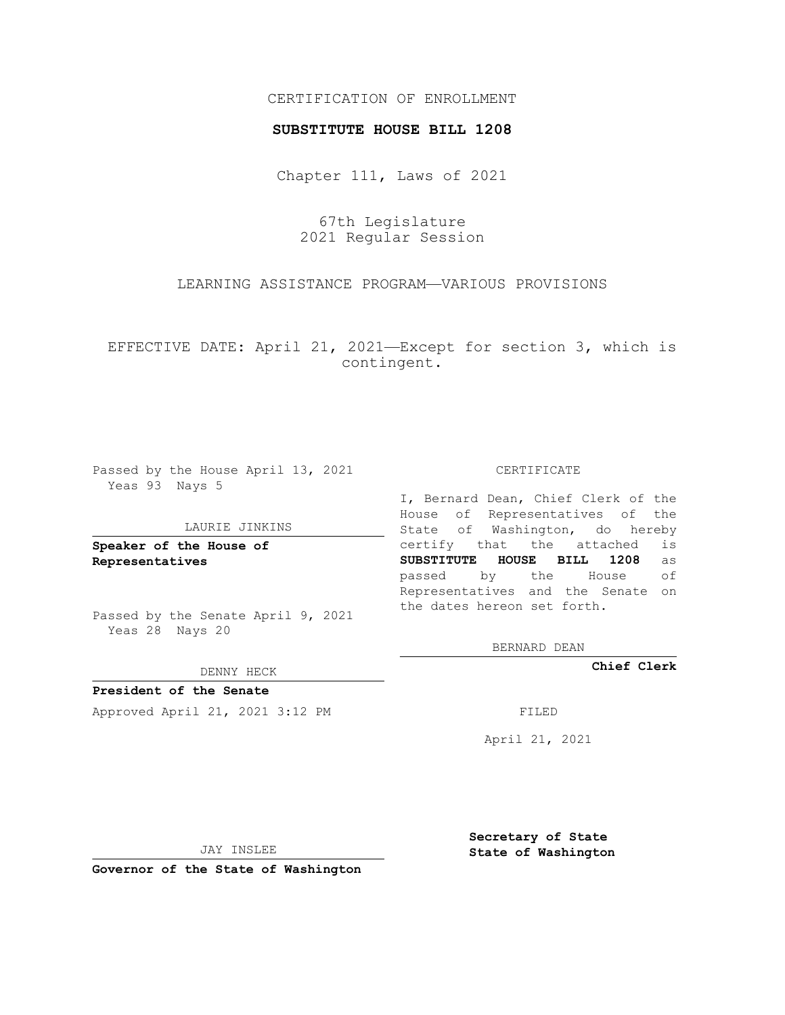## CERTIFICATION OF ENROLLMENT

### **SUBSTITUTE HOUSE BILL 1208**

Chapter 111, Laws of 2021

67th Legislature 2021 Regular Session

LEARNING ASSISTANCE PROGRAM—VARIOUS PROVISIONS

EFFECTIVE DATE: April 21, 2021—Except for section 3, which is contingent.

Passed by the House April 13, 2021 Yeas 93 Nays 5

#### LAURIE JINKINS

**Speaker of the House of Representatives**

Passed by the Senate April 9, 2021 Yeas 28 Nays 20

DENNY HECK

**President of the Senate** Approved April 21, 2021 3:12 PM

CERTIFICATE

I, Bernard Dean, Chief Clerk of the House of Representatives of the State of Washington, do hereby certify that the attached is **SUBSTITUTE HOUSE BILL 1208** as passed by the House of Representatives and the Senate on the dates hereon set forth.

BERNARD DEAN

**Chief Clerk**

April 21, 2021

JAY INSLEE

**Governor of the State of Washington**

**Secretary of State State of Washington**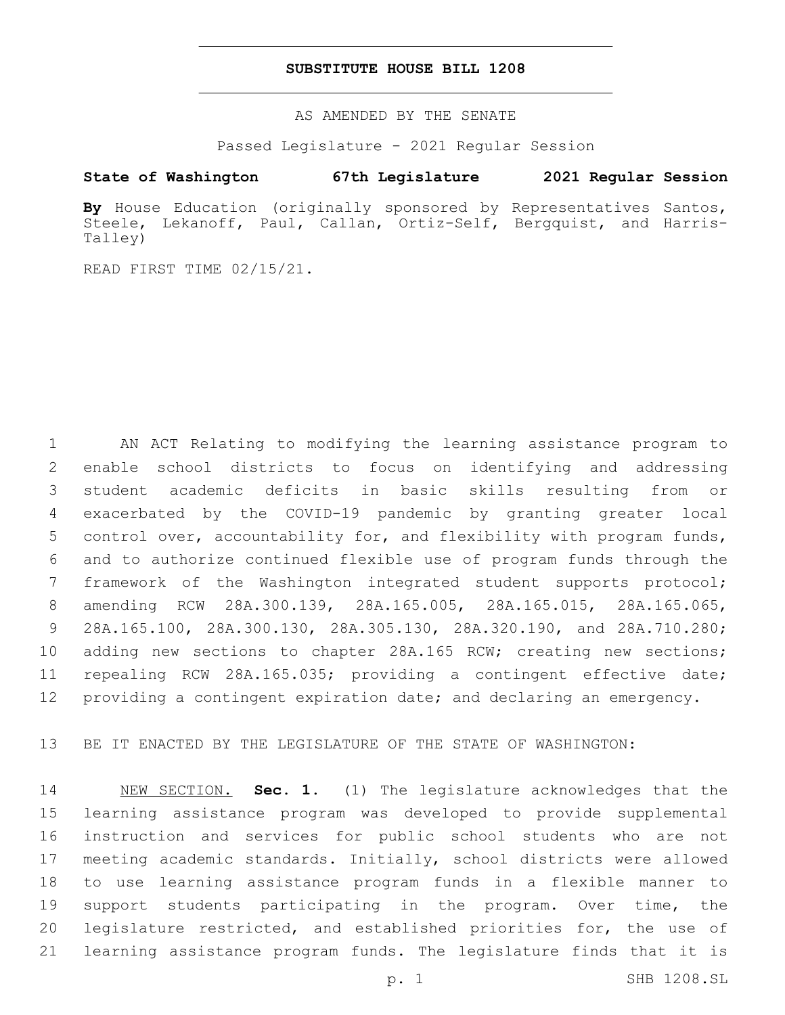## **SUBSTITUTE HOUSE BILL 1208**

AS AMENDED BY THE SENATE

Passed Legislature - 2021 Regular Session

# **State of Washington 67th Legislature 2021 Regular Session**

**By** House Education (originally sponsored by Representatives Santos, Steele, Lekanoff, Paul, Callan, Ortiz-Self, Bergquist, and Harris-Talley)

READ FIRST TIME 02/15/21.

 AN ACT Relating to modifying the learning assistance program to enable school districts to focus on identifying and addressing student academic deficits in basic skills resulting from or exacerbated by the COVID-19 pandemic by granting greater local control over, accountability for, and flexibility with program funds, and to authorize continued flexible use of program funds through the framework of the Washington integrated student supports protocol; amending RCW 28A.300.139, 28A.165.005, 28A.165.015, 28A.165.065, 28A.165.100, 28A.300.130, 28A.305.130, 28A.320.190, and 28A.710.280; 10 adding new sections to chapter 28A.165 RCW; creating new sections; repealing RCW 28A.165.035; providing a contingent effective date; 12 providing a contingent expiration date; and declaring an emergency.

BE IT ENACTED BY THE LEGISLATURE OF THE STATE OF WASHINGTON:

 NEW SECTION. **Sec. 1.** (1) The legislature acknowledges that the learning assistance program was developed to provide supplemental instruction and services for public school students who are not meeting academic standards. Initially, school districts were allowed to use learning assistance program funds in a flexible manner to support students participating in the program. Over time, the legislature restricted, and established priorities for, the use of learning assistance program funds. The legislature finds that it is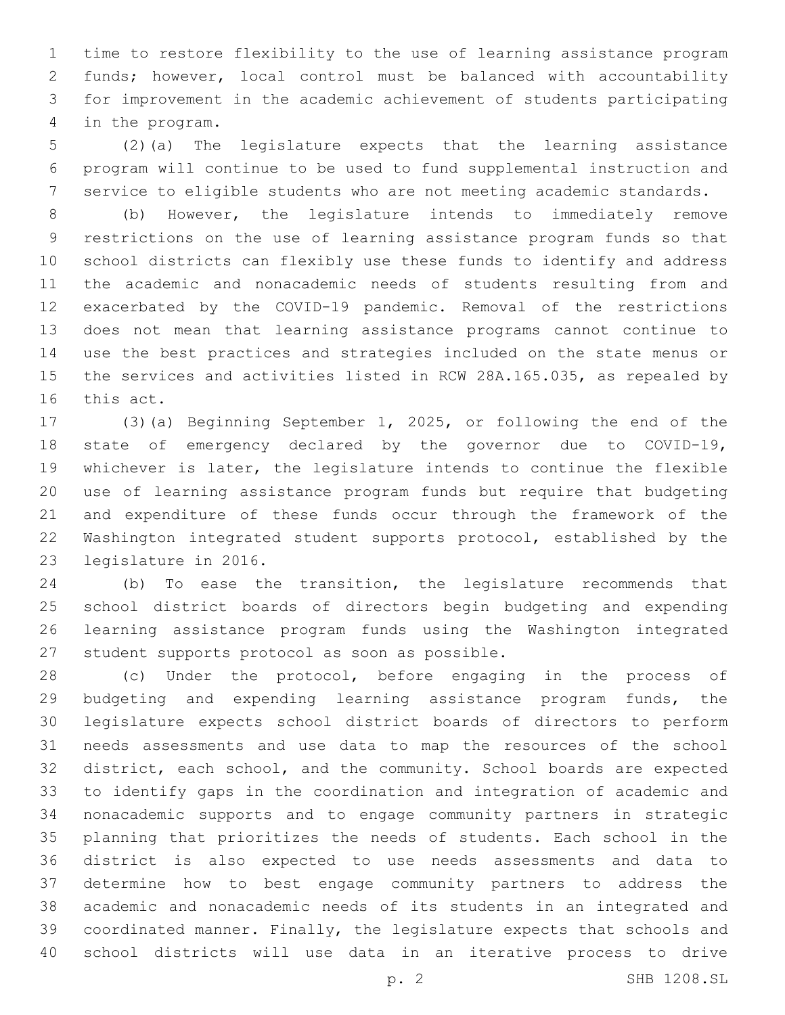time to restore flexibility to the use of learning assistance program funds; however, local control must be balanced with accountability for improvement in the academic achievement of students participating in the program.4

 (2)(a) The legislature expects that the learning assistance program will continue to be used to fund supplemental instruction and service to eligible students who are not meeting academic standards.

 (b) However, the legislature intends to immediately remove restrictions on the use of learning assistance program funds so that school districts can flexibly use these funds to identify and address the academic and nonacademic needs of students resulting from and exacerbated by the COVID-19 pandemic. Removal of the restrictions does not mean that learning assistance programs cannot continue to use the best practices and strategies included on the state menus or the services and activities listed in RCW 28A.165.035, as repealed by 16 this act.

 (3)(a) Beginning September 1, 2025, or following the end of the state of emergency declared by the governor due to COVID-19, whichever is later, the legislature intends to continue the flexible use of learning assistance program funds but require that budgeting and expenditure of these funds occur through the framework of the Washington integrated student supports protocol, established by the 23 legislature in 2016.

 (b) To ease the transition, the legislature recommends that school district boards of directors begin budgeting and expending learning assistance program funds using the Washington integrated 27 student supports protocol as soon as possible.

 (c) Under the protocol, before engaging in the process of budgeting and expending learning assistance program funds, the legislature expects school district boards of directors to perform needs assessments and use data to map the resources of the school district, each school, and the community. School boards are expected to identify gaps in the coordination and integration of academic and nonacademic supports and to engage community partners in strategic planning that prioritizes the needs of students. Each school in the district is also expected to use needs assessments and data to determine how to best engage community partners to address the academic and nonacademic needs of its students in an integrated and coordinated manner. Finally, the legislature expects that schools and school districts will use data in an iterative process to drive

p. 2 SHB 1208.SL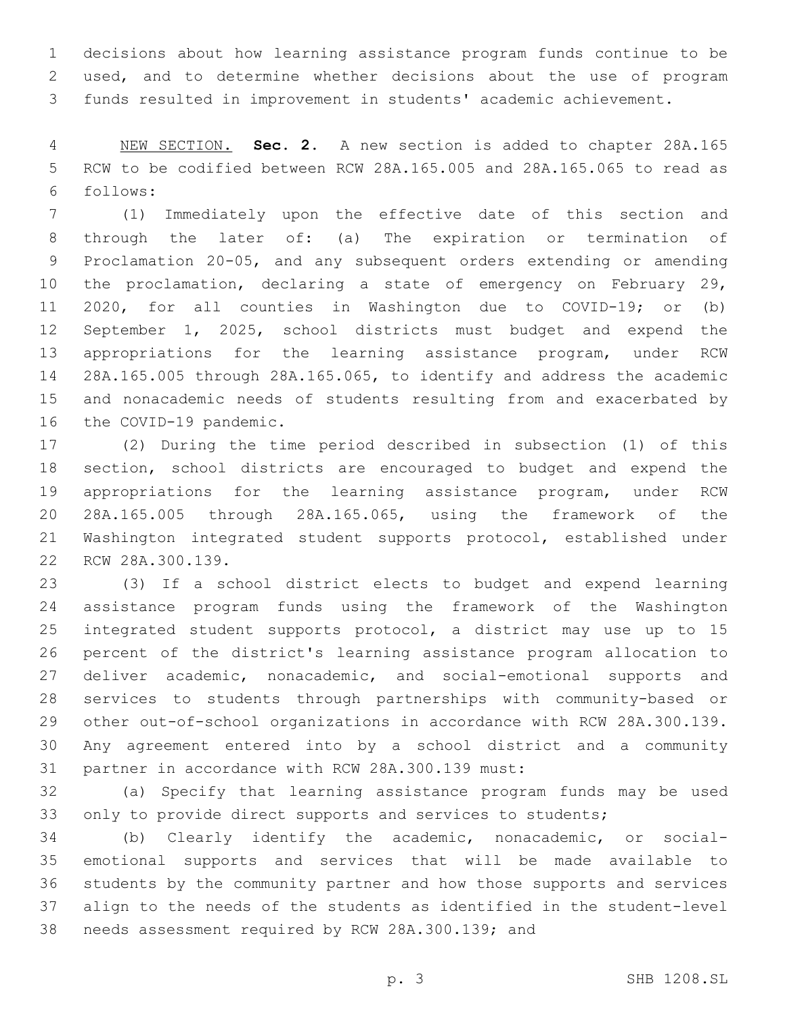decisions about how learning assistance program funds continue to be used, and to determine whether decisions about the use of program funds resulted in improvement in students' academic achievement.

 NEW SECTION. **Sec. 2.** A new section is added to chapter 28A.165 RCW to be codified between RCW 28A.165.005 and 28A.165.065 to read as follows:6

 (1) Immediately upon the effective date of this section and through the later of: (a) The expiration or termination of Proclamation 20-05, and any subsequent orders extending or amending the proclamation, declaring a state of emergency on February 29, 2020, for all counties in Washington due to COVID-19; or (b) September 1, 2025, school districts must budget and expend the appropriations for the learning assistance program, under RCW 28A.165.005 through 28A.165.065, to identify and address the academic and nonacademic needs of students resulting from and exacerbated by 16 the COVID-19 pandemic.

 (2) During the time period described in subsection (1) of this section, school districts are encouraged to budget and expend the appropriations for the learning assistance program, under RCW 28A.165.005 through 28A.165.065, using the framework of the Washington integrated student supports protocol, established under 22 RCW 28A.300.139.

 (3) If a school district elects to budget and expend learning assistance program funds using the framework of the Washington integrated student supports protocol, a district may use up to 15 percent of the district's learning assistance program allocation to 27 deliver academic, nonacademic, and social-emotional supports and services to students through partnerships with community-based or other out-of-school organizations in accordance with RCW 28A.300.139. Any agreement entered into by a school district and a community 31 partner in accordance with RCW 28A.300.139 must:

 (a) Specify that learning assistance program funds may be used 33 only to provide direct supports and services to students;

 (b) Clearly identify the academic, nonacademic, or social- emotional supports and services that will be made available to students by the community partner and how those supports and services align to the needs of the students as identified in the student-level 38 needs assessment required by RCW 28A.300.139; and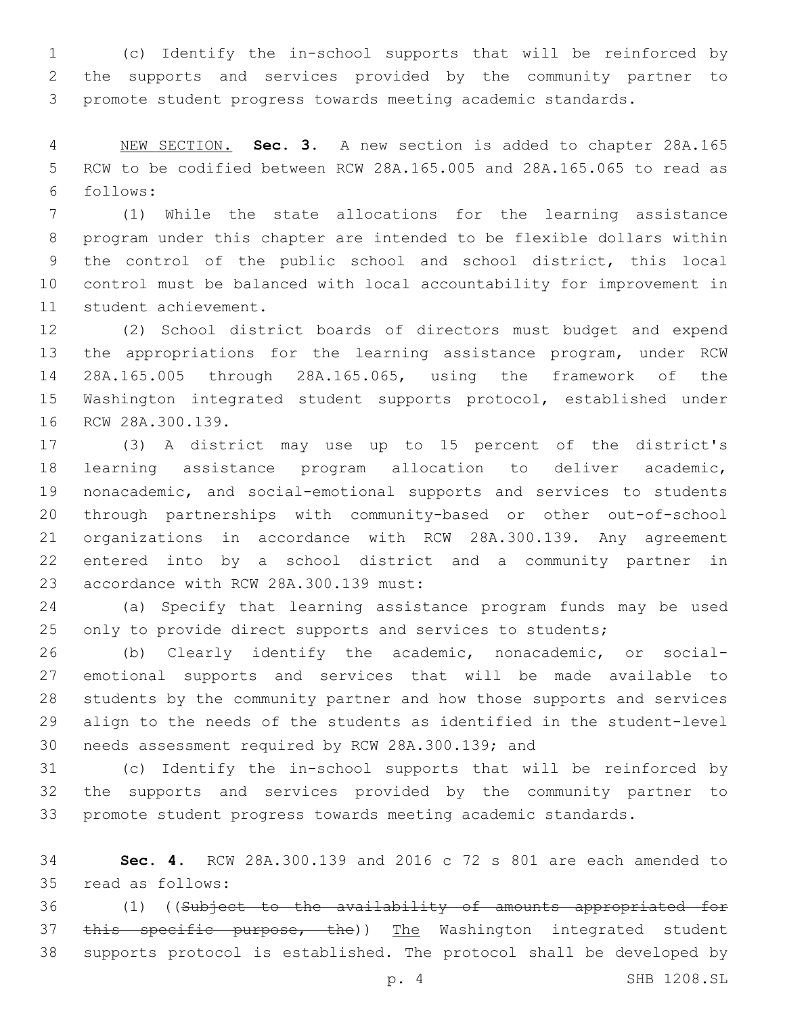(c) Identify the in-school supports that will be reinforced by the supports and services provided by the community partner to promote student progress towards meeting academic standards.

 NEW SECTION. **Sec. 3.** A new section is added to chapter 28A.165 RCW to be codified between RCW 28A.165.005 and 28A.165.065 to read as follows:6

 (1) While the state allocations for the learning assistance program under this chapter are intended to be flexible dollars within the control of the public school and school district, this local control must be balanced with local accountability for improvement in 11 student achievement.

 (2) School district boards of directors must budget and expend the appropriations for the learning assistance program, under RCW 28A.165.005 through 28A.165.065, using the framework of the Washington integrated student supports protocol, established under 16 RCW 28A.300.139.

 (3) A district may use up to 15 percent of the district's learning assistance program allocation to deliver academic, nonacademic, and social-emotional supports and services to students through partnerships with community-based or other out-of-school organizations in accordance with RCW 28A.300.139. Any agreement entered into by a school district and a community partner in 23 accordance with RCW 28A.300.139 must:

 (a) Specify that learning assistance program funds may be used 25 only to provide direct supports and services to students;

 (b) Clearly identify the academic, nonacademic, or social- emotional supports and services that will be made available to students by the community partner and how those supports and services align to the needs of the students as identified in the student-level 30 needs assessment required by RCW 28A.300.139; and

 (c) Identify the in-school supports that will be reinforced by the supports and services provided by the community partner to promote student progress towards meeting academic standards.

 **Sec. 4.** RCW 28A.300.139 and 2016 c 72 s 801 are each amended to read as follows:35

 (1) ((Subject to the availability of amounts appropriated for 37 this specific purpose, the)) The Washington integrated student supports protocol is established. The protocol shall be developed by

p. 4 SHB 1208.SL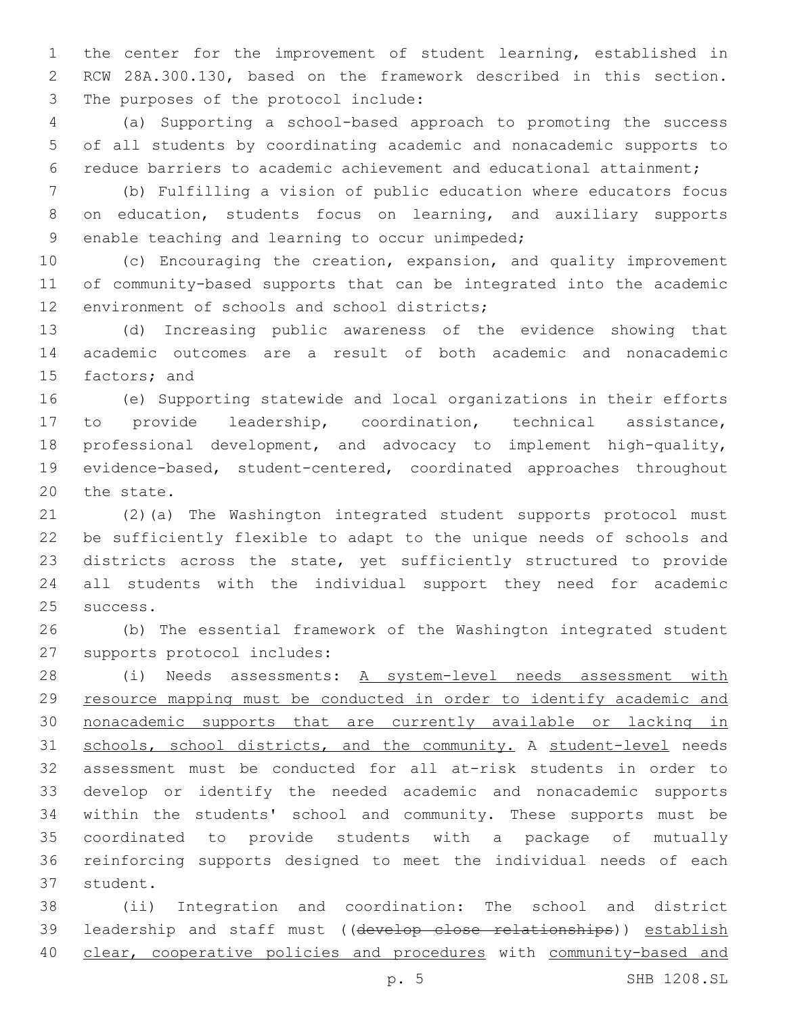the center for the improvement of student learning, established in RCW 28A.300.130, based on the framework described in this section. 3 The purposes of the protocol include:

 (a) Supporting a school-based approach to promoting the success of all students by coordinating academic and nonacademic supports to reduce barriers to academic achievement and educational attainment;

 (b) Fulfilling a vision of public education where educators focus on education, students focus on learning, and auxiliary supports 9 enable teaching and learning to occur unimpeded;

 (c) Encouraging the creation, expansion, and quality improvement of community-based supports that can be integrated into the academic 12 environment of schools and school districts;

 (d) Increasing public awareness of the evidence showing that academic outcomes are a result of both academic and nonacademic 15 factors; and

 (e) Supporting statewide and local organizations in their efforts to provide leadership, coordination, technical assistance, professional development, and advocacy to implement high-quality, evidence-based, student-centered, coordinated approaches throughout 20 the state.

 (2)(a) The Washington integrated student supports protocol must be sufficiently flexible to adapt to the unique needs of schools and districts across the state, yet sufficiently structured to provide all students with the individual support they need for academic 25 success.

 (b) The essential framework of the Washington integrated student 27 supports protocol includes:

 (i) Needs assessments: A system-level needs assessment with resource mapping must be conducted in order to identify academic and nonacademic supports that are currently available or lacking in schools, school districts, and the community. A student-level needs assessment must be conducted for all at-risk students in order to develop or identify the needed academic and nonacademic supports within the students' school and community. These supports must be coordinated to provide students with a package of mutually reinforcing supports designed to meet the individual needs of each 37 student.

 (ii) Integration and coordination: The school and district leadership and staff must ((develop close relationships)) establish clear, cooperative policies and procedures with community-based and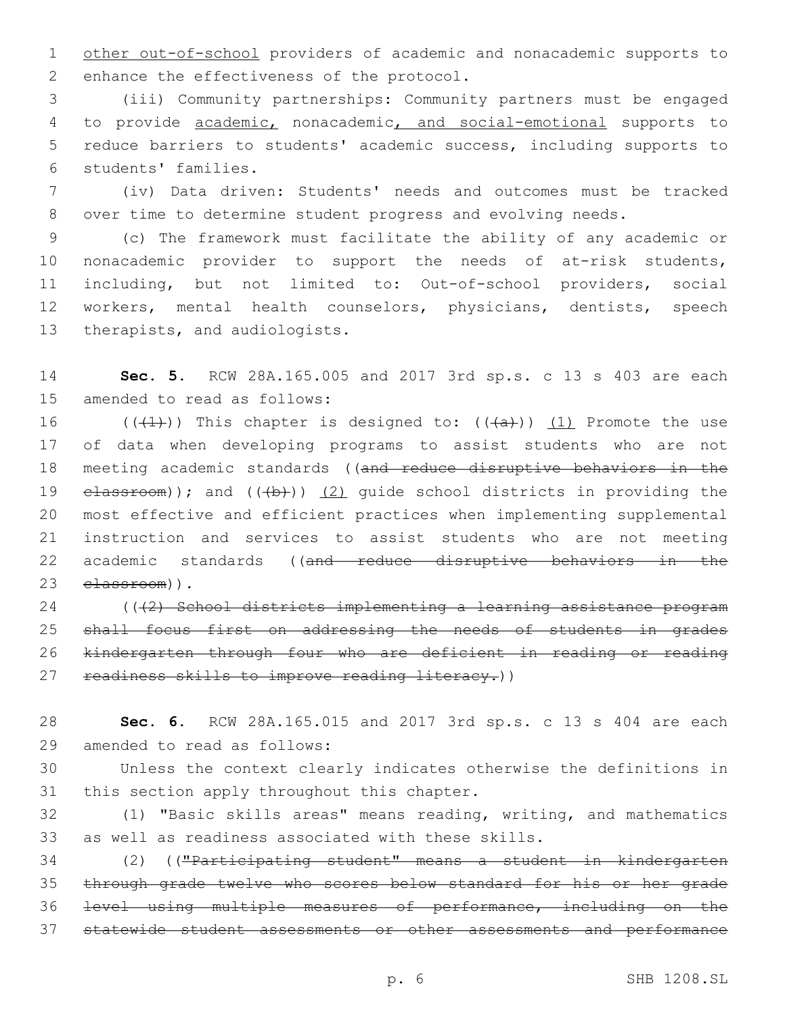other out-of-school providers of academic and nonacademic supports to 2 enhance the effectiveness of the protocol.

 (iii) Community partnerships: Community partners must be engaged to provide academic, nonacademic, and social-emotional supports to reduce barriers to students' academic success, including supports to students' families.6

 (iv) Data driven: Students' needs and outcomes must be tracked over time to determine student progress and evolving needs.

 (c) The framework must facilitate the ability of any academic or nonacademic provider to support the needs of at-risk students, including, but not limited to: Out-of-school providers, social workers, mental health counselors, physicians, dentists, speech 13 therapists, and audiologists.

 **Sec. 5.** RCW 28A.165.005 and 2017 3rd sp.s. c 13 s 403 are each 15 amended to read as follows:

16 (( $(1)$ )) This chapter is designed to: ( $(4a)$ )) (1) Promote the use of data when developing programs to assist students who are not meeting academic standards ((and reduce disruptive behaviors in the  $\epsilon$ lassroom)); and  $((+b))$   $(2)$  quide school districts in providing the most effective and efficient practices when implementing supplemental instruction and services to assist students who are not meeting 22 academic standards ((and reduce disruptive behaviors in the 23 elassroom)).

24 (((2) School districts implementing a learning assistance program shall focus first on addressing the needs of students in grades kindergarten through four who are deficient in reading or reading 27 readiness skills to improve reading literacy.))

 **Sec. 6.** RCW 28A.165.015 and 2017 3rd sp.s. c 13 s 404 are each 29 amended to read as follows:

 Unless the context clearly indicates otherwise the definitions in 31 this section apply throughout this chapter.

 (1) "Basic skills areas" means reading, writing, and mathematics as well as readiness associated with these skills.

 (2) (("Participating student" means a student in kindergarten through grade twelve who scores below standard for his or her grade level using multiple measures of performance, including on the statewide student assessments or other assessments and performance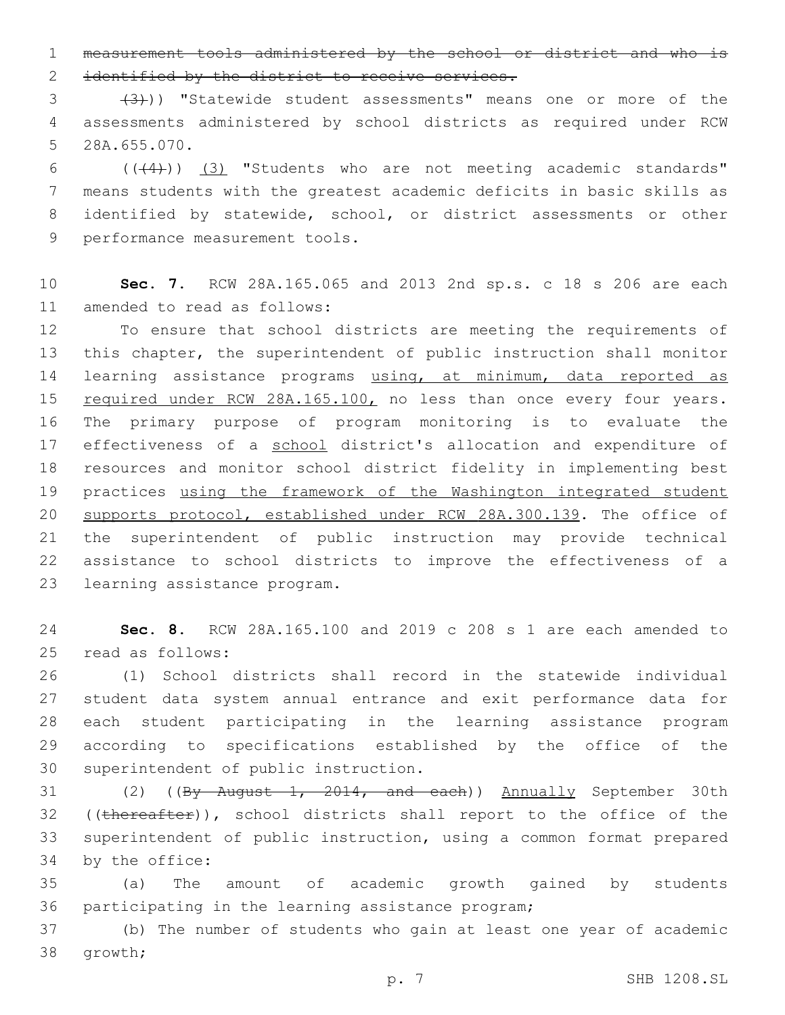1 measurement tools administered by the school or district and who is 2 identified by the district to receive services.

3 (3)) "Statewide student assessments" means one or more of the 4 assessments administered by school districts as required under RCW 5 28A.655.070.

 $((+4))$   $(3)$  "Students who are not meeting academic standards" means students with the greatest academic deficits in basic skills as identified by statewide, school, or district assessments or other 9 performance measurement tools.

10 **Sec. 7.** RCW 28A.165.065 and 2013 2nd sp.s. c 18 s 206 are each 11 amended to read as follows:

12 To ensure that school districts are meeting the requirements of 13 this chapter, the superintendent of public instruction shall monitor 14 learning assistance programs using, at minimum, data reported as 15 required under RCW 28A.165.100, no less than once every four years. 16 The primary purpose of program monitoring is to evaluate the 17 effectiveness of a school district's allocation and expenditure of 18 resources and monitor school district fidelity in implementing best 19 practices using the framework of the Washington integrated student 20 supports protocol, established under RCW 28A.300.139. The office of 21 the superintendent of public instruction may provide technical 22 assistance to school districts to improve the effectiveness of a 23 learning assistance program.

24 **Sec. 8.** RCW 28A.165.100 and 2019 c 208 s 1 are each amended to 25 read as follows:

 (1) School districts shall record in the statewide individual student data system annual entrance and exit performance data for each student participating in the learning assistance program according to specifications established by the office of the 30 superintendent of public instruction.

31 (2) ((By August 1, 2014, and each)) Annually September 30th 32 ((thereafter)), school districts shall report to the office of the 33 superintendent of public instruction, using a common format prepared 34 by the office:

35 (a) The amount of academic growth gained by students 36 participating in the learning assistance program;

37 (b) The number of students who gain at least one year of academic 38 qrowth;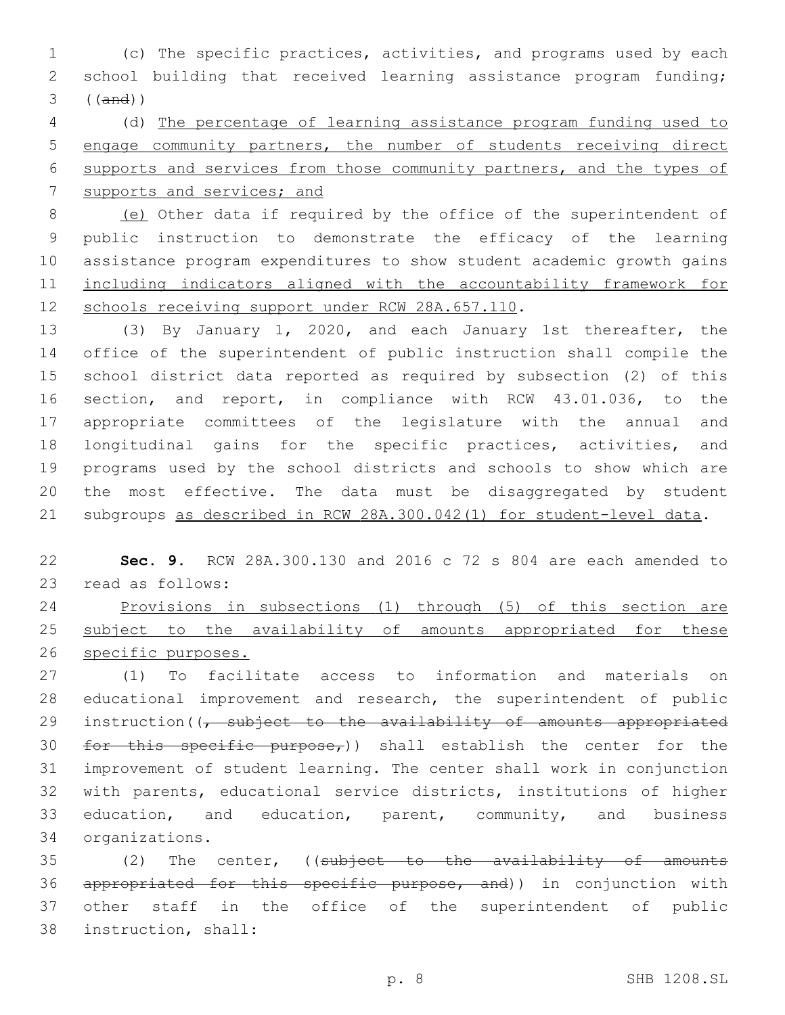(c) The specific practices, activities, and programs used by each school building that received learning assistance program funding; ((and))

 (d) The percentage of learning assistance program funding used to engage community partners, the number of students receiving direct supports and services from those community partners, and the types of supports and services; and

 (e) Other data if required by the office of the superintendent of public instruction to demonstrate the efficacy of the learning assistance program expenditures to show student academic growth gains including indicators aligned with the accountability framework for 12 schools receiving support under RCW 28A.657.110.

 (3) By January 1, 2020, and each January 1st thereafter, the office of the superintendent of public instruction shall compile the school district data reported as required by subsection (2) of this section, and report, in compliance with RCW 43.01.036, to the appropriate committees of the legislature with the annual and longitudinal gains for the specific practices, activities, and programs used by the school districts and schools to show which are the most effective. The data must be disaggregated by student subgroups as described in RCW 28A.300.042(1) for student-level data.

 **Sec. 9.** RCW 28A.300.130 and 2016 c 72 s 804 are each amended to 23 read as follows:

 Provisions in subsections (1) through (5) of this section are 25 subject to the availability of amounts appropriated for these specific purposes.

 (1) To facilitate access to information and materials on educational improvement and research, the superintendent of public 29 instruction( $\sqrt{7}$  subject to the availability of amounts appropriated 30 for this specific purpose,)) shall establish the center for the improvement of student learning. The center shall work in conjunction with parents, educational service districts, institutions of higher education, and education, parent, community, and business organizations.34

 (2) The center, ((subject to the availability of amounts 36 appropriated for this specific purpose, and)) in conjunction with other staff in the office of the superintendent of public 38 instruction, shall: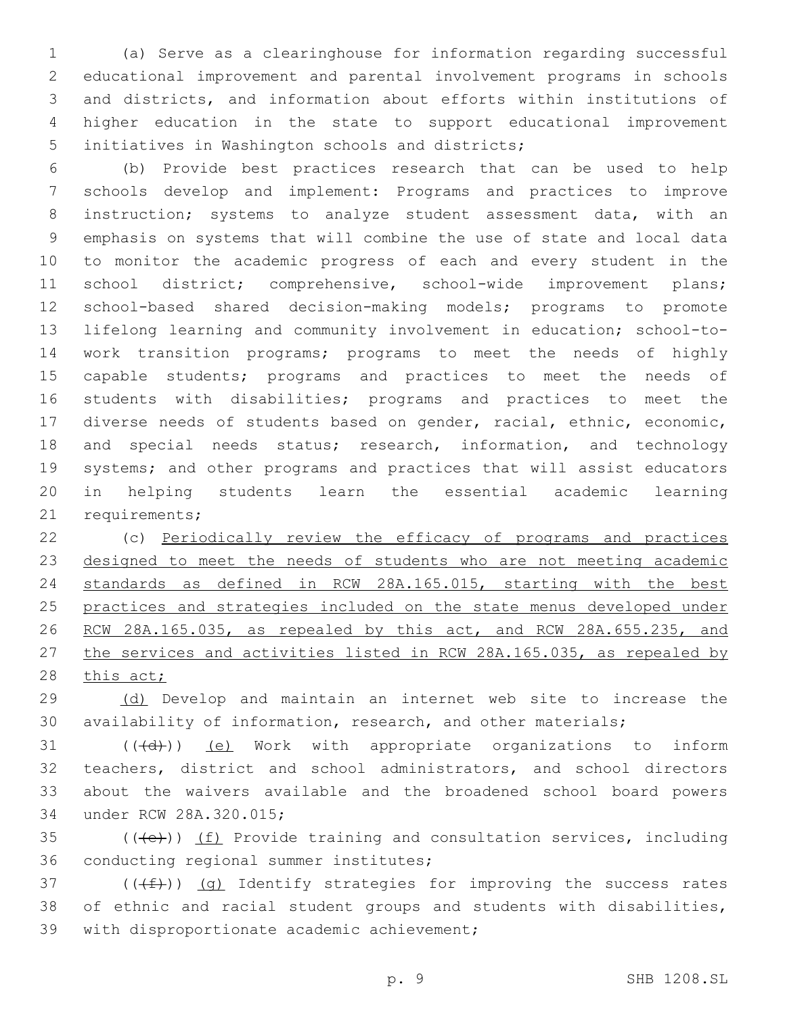(a) Serve as a clearinghouse for information regarding successful educational improvement and parental involvement programs in schools and districts, and information about efforts within institutions of higher education in the state to support educational improvement 5 initiatives in Washington schools and districts;

 (b) Provide best practices research that can be used to help schools develop and implement: Programs and practices to improve instruction; systems to analyze student assessment data, with an emphasis on systems that will combine the use of state and local data to monitor the academic progress of each and every student in the 11 school district; comprehensive, school-wide improvement plans; school-based shared decision-making models; programs to promote lifelong learning and community involvement in education; school-to- work transition programs; programs to meet the needs of highly capable students; programs and practices to meet the needs of students with disabilities; programs and practices to meet the diverse needs of students based on gender, racial, ethnic, economic, and special needs status; research, information, and technology systems; and other programs and practices that will assist educators in helping students learn the essential academic learning 21 requirements;

 (c) Periodically review the efficacy of programs and practices 23 designed to meet the needs of students who are not meeting academic standards as defined in RCW 28A.165.015, starting with the best practices and strategies included on the state menus developed under 26 RCW 28A.165.035, as repealed by this act, and RCW 28A.655.235, and 27 the services and activities listed in RCW 28A.165.035, as repealed by 28 this act;

 (d) Develop and maintain an internet web site to increase the availability of information, research, and other materials;

 ( $(\overline{(d)})$ )  $(e)$  Work with appropriate organizations to inform teachers, district and school administrators, and school directors about the waivers available and the broadened school board powers 34 under RCW 28A.320.015;

 (((e))) (f) Provide training and consultation services, including 36 conducting regional summer institutes;

37 ( $(\text{+f})$ ) (g) Identify strategies for improving the success rates of ethnic and racial student groups and students with disabilities, 39 with disproportionate academic achievement;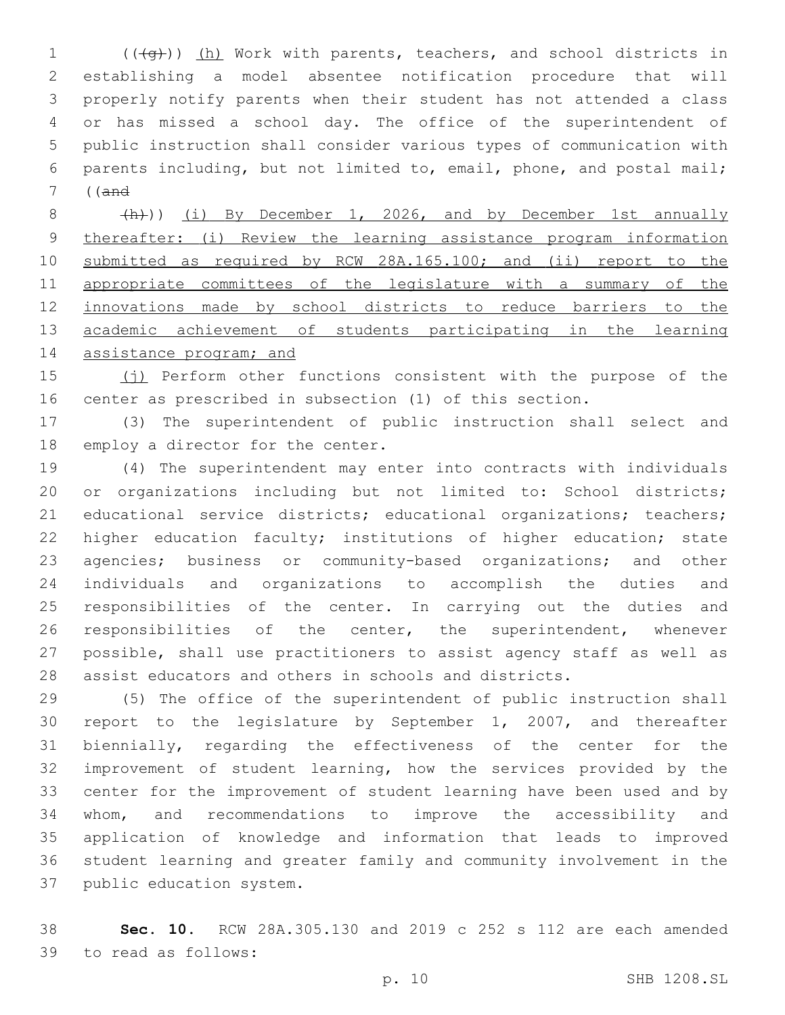1 (((+q))) (h) Work with parents, teachers, and school districts in establishing a model absentee notification procedure that will properly notify parents when their student has not attended a class or has missed a school day. The office of the superintendent of public instruction shall consider various types of communication with parents including, but not limited to, email, phone, and postal mail; ((and

8 (h)) (i) By December 1, 2026, and by December 1st annually thereafter: (i) Review the learning assistance program information submitted as required by RCW 28A.165.100; and (ii) report to the appropriate committees of the legislature with a summary of the innovations made by school districts to reduce barriers to the academic achievement of students participating in the learning 14 assistance program; and

 (j) Perform other functions consistent with the purpose of the center as prescribed in subsection (1) of this section.

 (3) The superintendent of public instruction shall select and 18 employ a director for the center.

 (4) The superintendent may enter into contracts with individuals or organizations including but not limited to: School districts; educational service districts; educational organizations; teachers; 22 higher education faculty; institutions of higher education; state agencies; business or community-based organizations; and other individuals and organizations to accomplish the duties and responsibilities of the center. In carrying out the duties and 26 responsibilities of the center, the superintendent, whenever possible, shall use practitioners to assist agency staff as well as assist educators and others in schools and districts.

 (5) The office of the superintendent of public instruction shall report to the legislature by September 1, 2007, and thereafter biennially, regarding the effectiveness of the center for the improvement of student learning, how the services provided by the center for the improvement of student learning have been used and by whom, and recommendations to improve the accessibility and application of knowledge and information that leads to improved student learning and greater family and community involvement in the 37 public education system.

 **Sec. 10.** RCW 28A.305.130 and 2019 c 252 s 112 are each amended to read as follows:39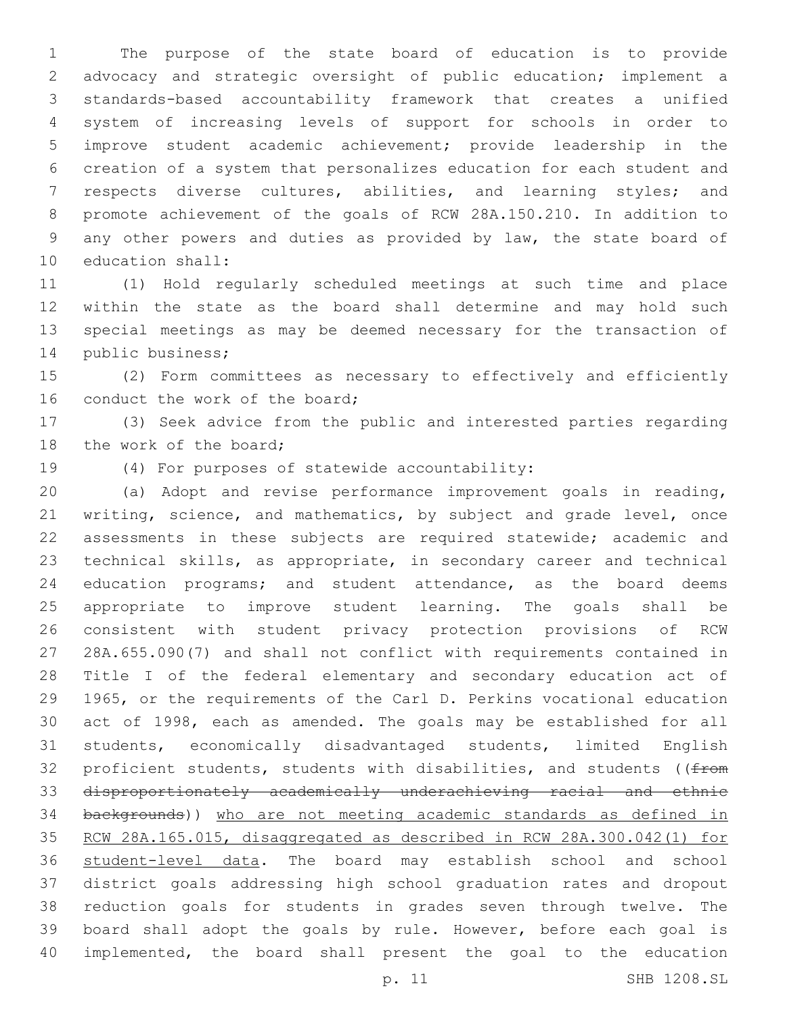The purpose of the state board of education is to provide advocacy and strategic oversight of public education; implement a standards-based accountability framework that creates a unified system of increasing levels of support for schools in order to improve student academic achievement; provide leadership in the creation of a system that personalizes education for each student and respects diverse cultures, abilities, and learning styles; and promote achievement of the goals of RCW 28A.150.210. In addition to any other powers and duties as provided by law, the state board of 10 education shall:

 (1) Hold regularly scheduled meetings at such time and place within the state as the board shall determine and may hold such special meetings as may be deemed necessary for the transaction of 14 public business;

 (2) Form committees as necessary to effectively and efficiently 16 conduct the work of the board;

 (3) Seek advice from the public and interested parties regarding 18 the work of the board;

19 (4) For purposes of statewide accountability:

 (a) Adopt and revise performance improvement goals in reading, writing, science, and mathematics, by subject and grade level, once assessments in these subjects are required statewide; academic and technical skills, as appropriate, in secondary career and technical education programs; and student attendance, as the board deems appropriate to improve student learning. The goals shall be consistent with student privacy protection provisions of RCW 28A.655.090(7) and shall not conflict with requirements contained in Title I of the federal elementary and secondary education act of 1965, or the requirements of the Carl D. Perkins vocational education act of 1998, each as amended. The goals may be established for all students, economically disadvantaged students, limited English 32 proficient students, students with disabilities, and students ( $(f$ from disproportionately academically underachieving racial and ethnic backgrounds)) who are not meeting academic standards as defined in RCW 28A.165.015, disaggregated as described in RCW 28A.300.042(1) for student-level data. The board may establish school and school district goals addressing high school graduation rates and dropout reduction goals for students in grades seven through twelve. The board shall adopt the goals by rule. However, before each goal is implemented, the board shall present the goal to the education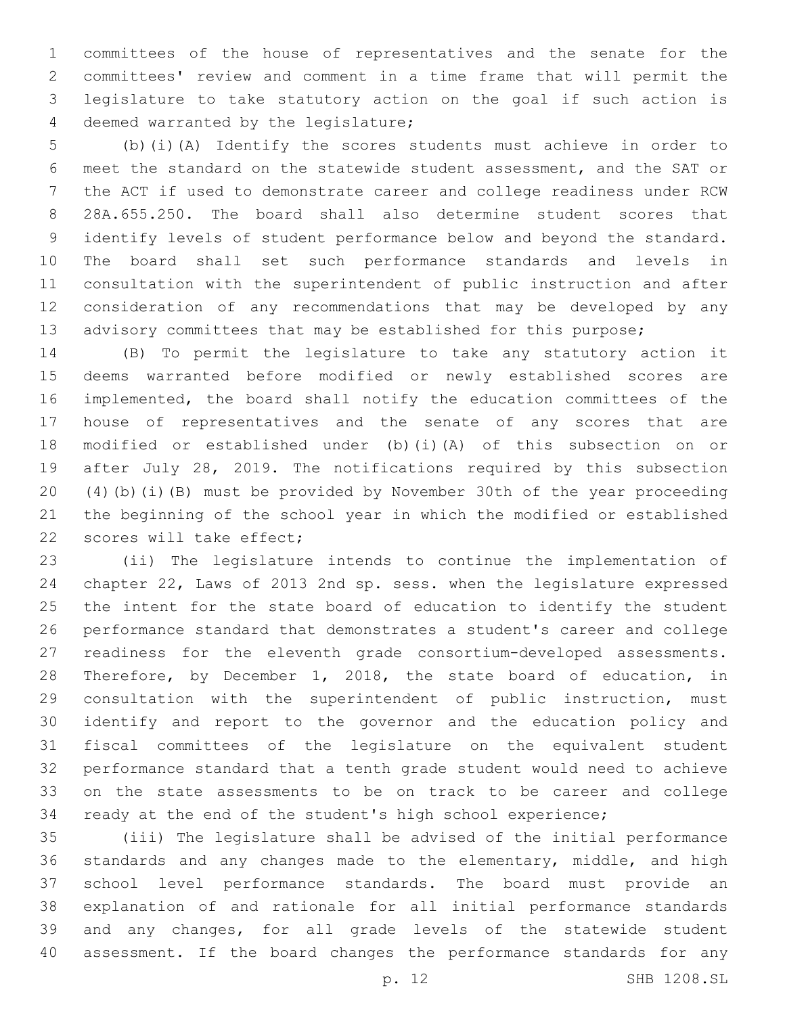committees of the house of representatives and the senate for the committees' review and comment in a time frame that will permit the legislature to take statutory action on the goal if such action is 4 deemed warranted by the legislature;

 (b)(i)(A) Identify the scores students must achieve in order to meet the standard on the statewide student assessment, and the SAT or the ACT if used to demonstrate career and college readiness under RCW 28A.655.250. The board shall also determine student scores that identify levels of student performance below and beyond the standard. The board shall set such performance standards and levels in consultation with the superintendent of public instruction and after consideration of any recommendations that may be developed by any 13 advisory committees that may be established for this purpose;

 (B) To permit the legislature to take any statutory action it deems warranted before modified or newly established scores are implemented, the board shall notify the education committees of the house of representatives and the senate of any scores that are modified or established under (b)(i)(A) of this subsection on or after July 28, 2019. The notifications required by this subsection (4)(b)(i)(B) must be provided by November 30th of the year proceeding the beginning of the school year in which the modified or established 22 scores will take effect;

 (ii) The legislature intends to continue the implementation of chapter 22, Laws of 2013 2nd sp. sess. when the legislature expressed the intent for the state board of education to identify the student performance standard that demonstrates a student's career and college readiness for the eleventh grade consortium-developed assessments. Therefore, by December 1, 2018, the state board of education, in consultation with the superintendent of public instruction, must identify and report to the governor and the education policy and fiscal committees of the legislature on the equivalent student performance standard that a tenth grade student would need to achieve on the state assessments to be on track to be career and college ready at the end of the student's high school experience;

 (iii) The legislature shall be advised of the initial performance standards and any changes made to the elementary, middle, and high school level performance standards. The board must provide an explanation of and rationale for all initial performance standards and any changes, for all grade levels of the statewide student assessment. If the board changes the performance standards for any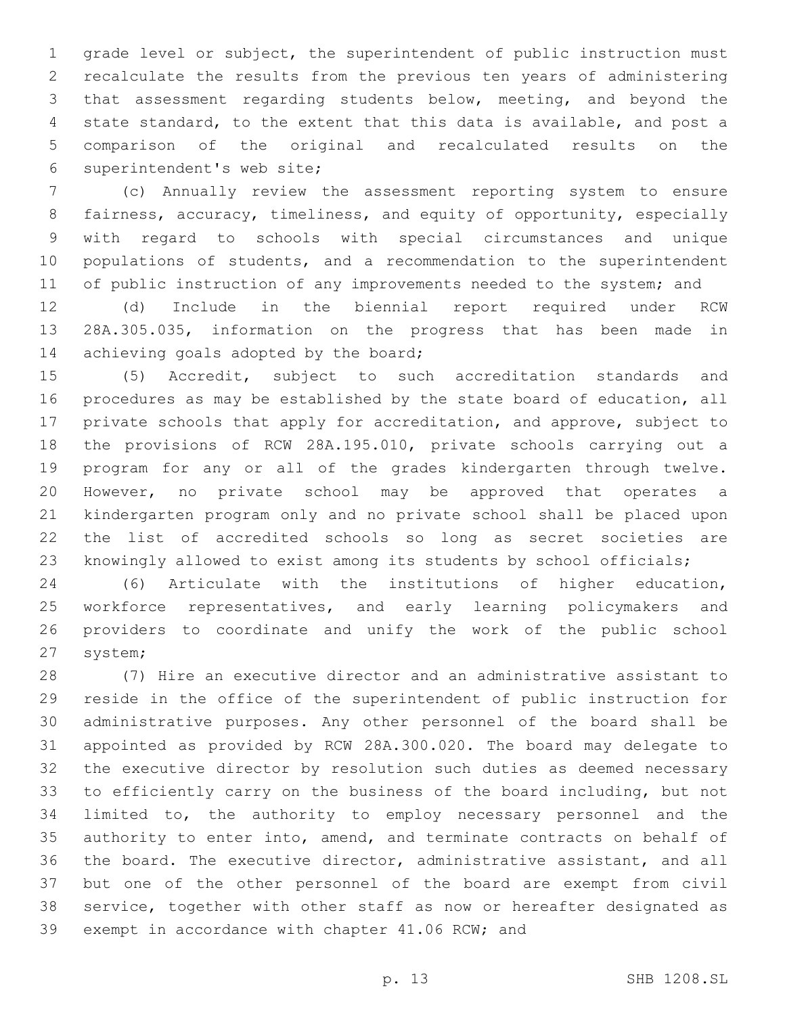grade level or subject, the superintendent of public instruction must recalculate the results from the previous ten years of administering that assessment regarding students below, meeting, and beyond the state standard, to the extent that this data is available, and post a comparison of the original and recalculated results on the 6 superintendent's web site;

 (c) Annually review the assessment reporting system to ensure fairness, accuracy, timeliness, and equity of opportunity, especially with regard to schools with special circumstances and unique populations of students, and a recommendation to the superintendent 11 of public instruction of any improvements needed to the system; and

 (d) Include in the biennial report required under RCW 28A.305.035, information on the progress that has been made in 14 achieving goals adopted by the board;

 (5) Accredit, subject to such accreditation standards and procedures as may be established by the state board of education, all private schools that apply for accreditation, and approve, subject to the provisions of RCW 28A.195.010, private schools carrying out a program for any or all of the grades kindergarten through twelve. However, no private school may be approved that operates a kindergarten program only and no private school shall be placed upon the list of accredited schools so long as secret societies are knowingly allowed to exist among its students by school officials;

 (6) Articulate with the institutions of higher education, 25 workforce representatives, and early learning policymakers and providers to coordinate and unify the work of the public school 27 system;

 (7) Hire an executive director and an administrative assistant to reside in the office of the superintendent of public instruction for administrative purposes. Any other personnel of the board shall be appointed as provided by RCW 28A.300.020. The board may delegate to the executive director by resolution such duties as deemed necessary to efficiently carry on the business of the board including, but not limited to, the authority to employ necessary personnel and the authority to enter into, amend, and terminate contracts on behalf of the board. The executive director, administrative assistant, and all but one of the other personnel of the board are exempt from civil service, together with other staff as now or hereafter designated as 39 exempt in accordance with chapter 41.06 RCW; and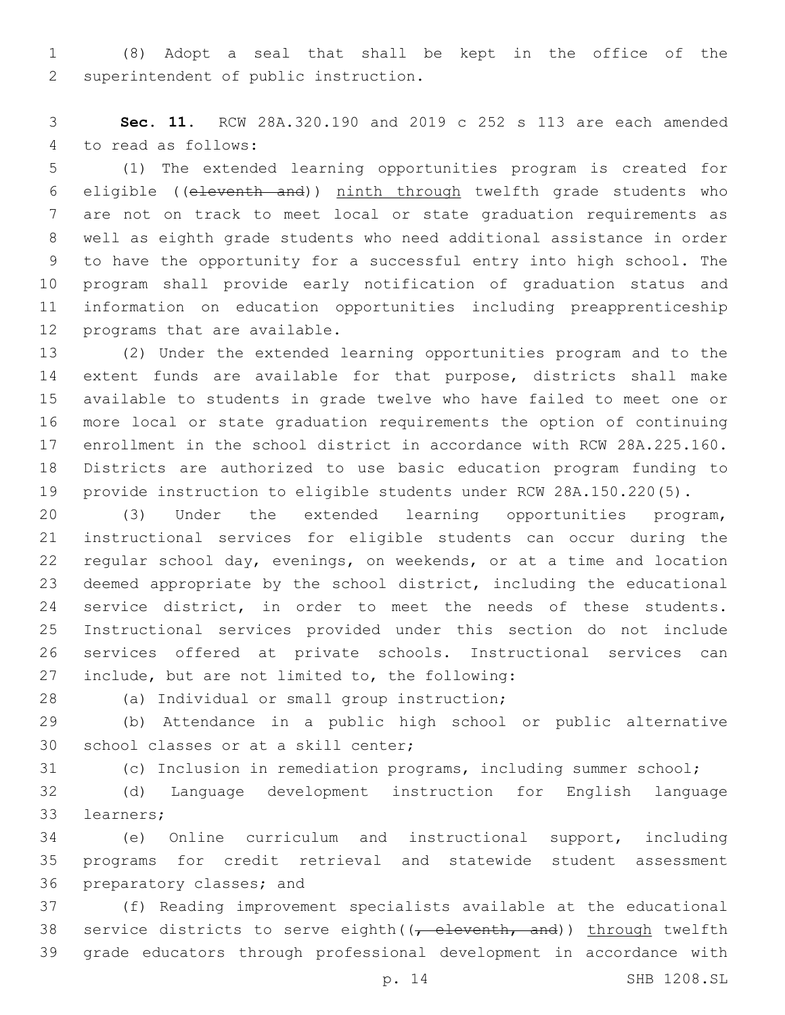(8) Adopt a seal that shall be kept in the office of the 2 superintendent of public instruction.

 **Sec. 11.** RCW 28A.320.190 and 2019 c 252 s 113 are each amended 4 to read as follows:

 (1) The extended learning opportunities program is created for eligible ((eleventh and)) ninth through twelfth grade students who are not on track to meet local or state graduation requirements as well as eighth grade students who need additional assistance in order to have the opportunity for a successful entry into high school. The program shall provide early notification of graduation status and information on education opportunities including preapprenticeship 12 programs that are available.

 (2) Under the extended learning opportunities program and to the extent funds are available for that purpose, districts shall make available to students in grade twelve who have failed to meet one or more local or state graduation requirements the option of continuing enrollment in the school district in accordance with RCW 28A.225.160. Districts are authorized to use basic education program funding to provide instruction to eligible students under RCW 28A.150.220(5).

 (3) Under the extended learning opportunities program, instructional services for eligible students can occur during the regular school day, evenings, on weekends, or at a time and location deemed appropriate by the school district, including the educational service district, in order to meet the needs of these students. Instructional services provided under this section do not include services offered at private schools. Instructional services can 27 include, but are not limited to, the following:

(a) Individual or small group instruction;28

 (b) Attendance in a public high school or public alternative 30 school classes or at a skill center;

(c) Inclusion in remediation programs, including summer school;

 (d) Language development instruction for English language 33 learners;

 (e) Online curriculum and instructional support, including programs for credit retrieval and statewide student assessment 36 preparatory classes; and

 (f) Reading improvement specialists available at the educational 38 service districts to serve eighth( $(-$  eleventh, and)) through twelfth grade educators through professional development in accordance with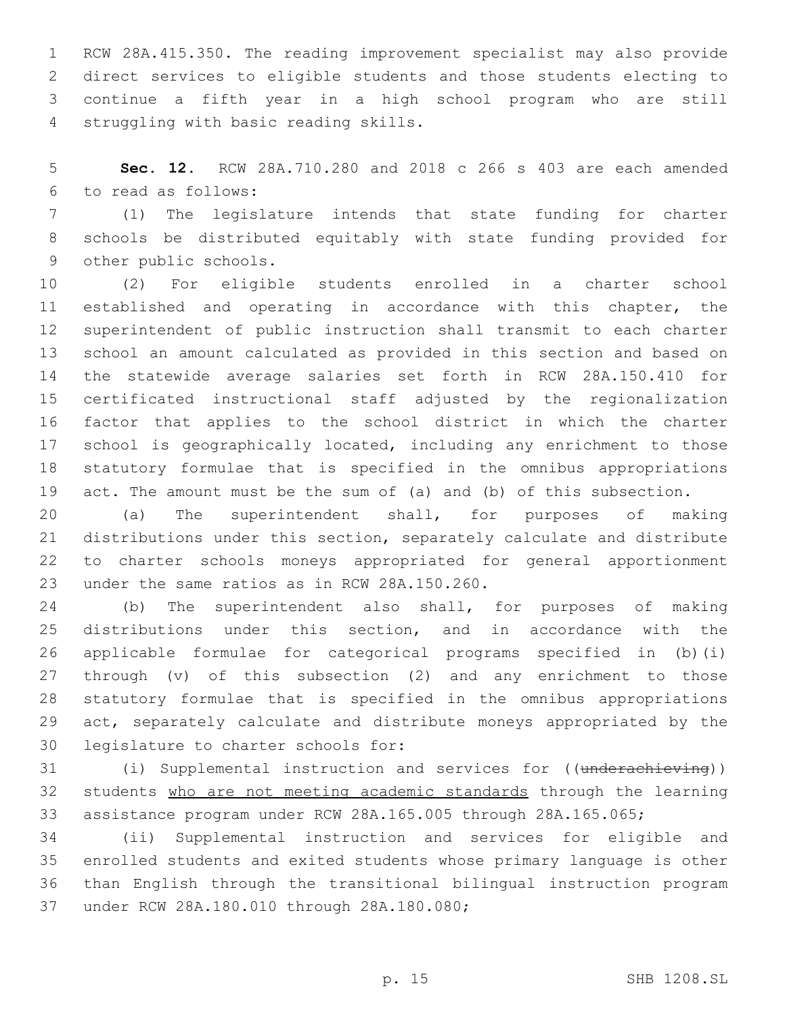RCW 28A.415.350. The reading improvement specialist may also provide direct services to eligible students and those students electing to continue a fifth year in a high school program who are still struggling with basic reading skills.4

 **Sec. 12.** RCW 28A.710.280 and 2018 c 266 s 403 are each amended to read as follows:6

 (1) The legislature intends that state funding for charter schools be distributed equitably with state funding provided for 9 other public schools.

 (2) For eligible students enrolled in a charter school established and operating in accordance with this chapter, the superintendent of public instruction shall transmit to each charter school an amount calculated as provided in this section and based on the statewide average salaries set forth in RCW 28A.150.410 for certificated instructional staff adjusted by the regionalization factor that applies to the school district in which the charter school is geographically located, including any enrichment to those statutory formulae that is specified in the omnibus appropriations act. The amount must be the sum of (a) and (b) of this subsection.

 (a) The superintendent shall, for purposes of making distributions under this section, separately calculate and distribute to charter schools moneys appropriated for general apportionment 23 under the same ratios as in RCW 28A.150.260.

 (b) The superintendent also shall, for purposes of making distributions under this section, and in accordance with the applicable formulae for categorical programs specified in (b)(i) through (v) of this subsection (2) and any enrichment to those statutory formulae that is specified in the omnibus appropriations act, separately calculate and distribute moneys appropriated by the 30 legislature to charter schools for:

31 (i) Supplemental instruction and services for ((underachieving)) students who are not meeting academic standards through the learning assistance program under RCW 28A.165.005 through 28A.165.065;

 (ii) Supplemental instruction and services for eligible and enrolled students and exited students whose primary language is other than English through the transitional bilingual instruction program 37 under RCW 28A.180.010 through 28A.180.080;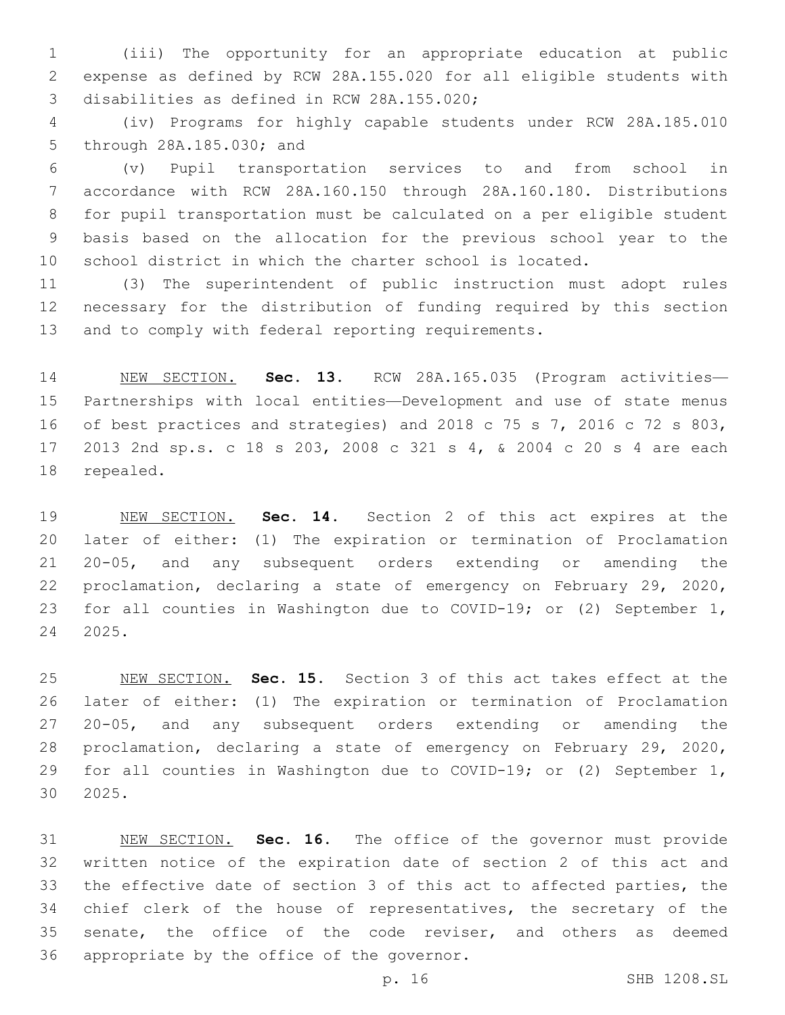(iii) The opportunity for an appropriate education at public expense as defined by RCW 28A.155.020 for all eligible students with 3 disabilities as defined in RCW 28A.155.020;

 (iv) Programs for highly capable students under RCW 28A.185.010 5 through 28A.185.030; and

 (v) Pupil transportation services to and from school in accordance with RCW 28A.160.150 through 28A.160.180. Distributions for pupil transportation must be calculated on a per eligible student basis based on the allocation for the previous school year to the school district in which the charter school is located.

 (3) The superintendent of public instruction must adopt rules necessary for the distribution of funding required by this section and to comply with federal reporting requirements.

 NEW SECTION. **Sec. 13.** RCW 28A.165.035 (Program activities— Partnerships with local entities—Development and use of state menus of best practices and strategies) and 2018 c 75 s 7, 2016 c 72 s 803, 2013 2nd sp.s. c 18 s 203, 2008 c 321 s 4, & 2004 c 20 s 4 are each repealed.

 NEW SECTION. **Sec. 14.** Section 2 of this act expires at the later of either: (1) The expiration or termination of Proclamation 20-05, and any subsequent orders extending or amending the proclamation, declaring a state of emergency on February 29, 2020, for all counties in Washington due to COVID-19; or (2) September 1, 2025.

 NEW SECTION. **Sec. 15.** Section 3 of this act takes effect at the later of either: (1) The expiration or termination of Proclamation 20-05, and any subsequent orders extending or amending the proclamation, declaring a state of emergency on February 29, 2020, for all counties in Washington due to COVID-19; or (2) September 1, 2025.

 NEW SECTION. **Sec. 16.** The office of the governor must provide written notice of the expiration date of section 2 of this act and the effective date of section 3 of this act to affected parties, the chief clerk of the house of representatives, the secretary of the senate, the office of the code reviser, and others as deemed appropriate by the office of the governor.